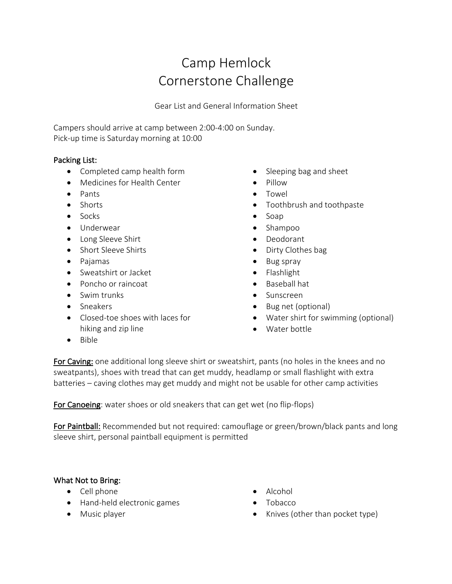# Camp Hemlock Cornerstone Challenge

Gear List and General Information Sheet

Campers should arrive at camp between 2:00-4:00 on Sunday. Pick-up time is Saturday morning at 10:00

## Packing List:

- Completed camp health form
- Medicines for Health Center
- Pants
- Shorts
- Socks
- Underwear
- Long Sleeve Shirt
- Short Sleeve Shirts
- Pajamas
- Sweatshirt or Jacket
- Poncho or raincoat
- Swim trunks
- Sneakers
- Closed-toe shoes with laces for hiking and zip line
- Sleeping bag and sheet
- Pillow
- Towel
- Toothbrush and toothpaste
- Soap
- Shampoo
- Deodorant
- Dirty Clothes bag
- Bug spray
- Flashlight
- Baseball hat
- Sunscreen
- Bug net (optional)
- Water shirt for swimming (optional)
- Water bottle

• Bible

For Caving: one additional long sleeve shirt or sweatshirt, pants (no holes in the knees and no sweatpants), shoes with tread that can get muddy, headlamp or small flashlight with extra batteries – caving clothes may get muddy and might not be usable for other camp activities

For Canoeing: water shoes or old sneakers that can get wet (no flip-flops)

For Paintball: Recommended but not required: camouflage or green/brown/black pants and long sleeve shirt, personal paintball equipment is permitted

#### What Not to Bring:

- Cell phone
- Hand-held electronic games
- Music player
- Alcohol
- Tobacco
- Knives (other than pocket type)